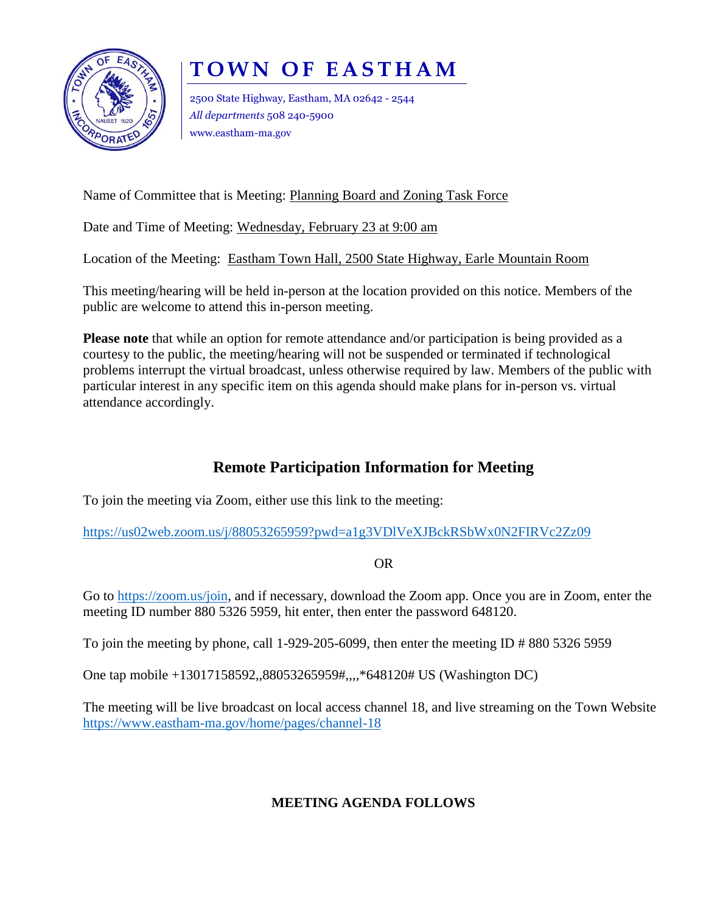

# **T O W N O F E A S T H A M**

2500 State Highway, Eastham, MA 02642 - 2544 *All departments* 508 240-5900 www.eastham-ma.gov

Name of Committee that is Meeting: Planning Board and Zoning Task Force

Date and Time of Meeting: Wednesday, February 23 at 9:00 am

Location of the Meeting: Eastham Town Hall, 2500 State Highway, Earle Mountain Room

This meeting/hearing will be held in-person at the location provided on this notice. Members of the public are welcome to attend this in-person meeting.

**Please note** that while an option for remote attendance and/or participation is being provided as a courtesy to the public, the meeting/hearing will not be suspended or terminated if technological problems interrupt the virtual broadcast, unless otherwise required by law. Members of the public with particular interest in any specific item on this agenda should make plans for in-person vs. virtual attendance accordingly.

## **Remote Participation Information for Meeting**

To join the meeting via Zoom, either use this link to the meeting:

<https://us02web.zoom.us/j/88053265959?pwd=a1g3VDlVeXJBckRSbWx0N2FIRVc2Zz09>

OR

Go to [https://zoom.us/join,](https://zoom.us/join) and if necessary, download the Zoom app. Once you are in Zoom, enter the meeting ID number 880 5326 5959, hit enter, then enter the password 648120.

To join the meeting by phone, call 1-929-205-6099, then enter the meeting ID  $\# 880\ 5326\ 5959$ 

One tap mobile +13017158592,,88053265959#,,,,\*648120# US (Washington DC)

The meeting will be live broadcast on local access channel 18, and live streaming on the Town Website <https://www.eastham-ma.gov/home/pages/channel-18>

## **MEETING AGENDA FOLLOWS**